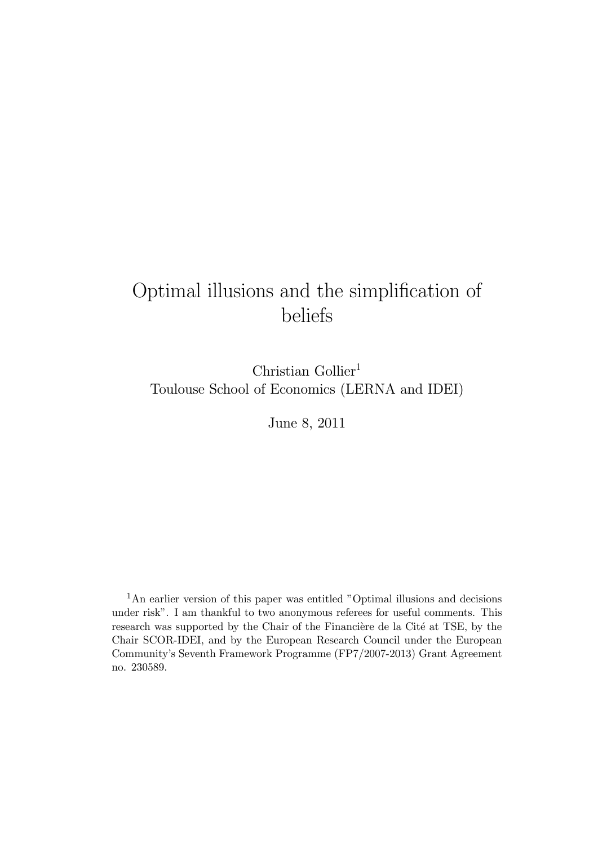# Optimal illusions and the simplification of beliefs

Christian Gollier<sup>1</sup> Toulouse School of Economics (LERNA and IDEI)

June 8, 2011

<sup>1</sup>An earlier version of this paper was entitled "Optimal illusions and decisions under risk". I am thankful to two anonymous referees for useful comments. This research was supported by the Chair of the Financière de la Cité at TSE, by the Chair SCOR-IDEI, and by the European Research Council under the European Community's Seventh Framework Programme (FP7/2007-2013) Grant Agreement no. 230589.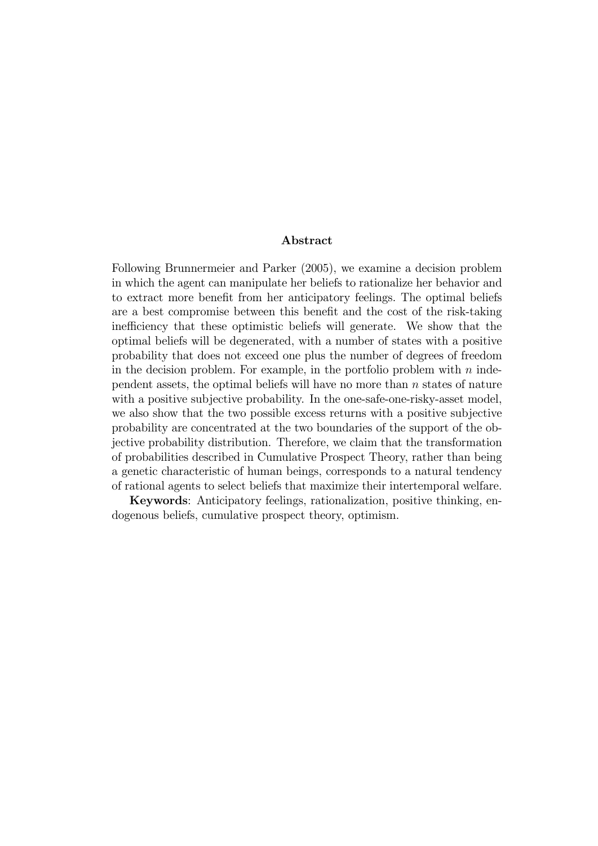#### Abstract

Following Brunnermeier and Parker (2005), we examine a decision problem in which the agent can manipulate her beliefs to rationalize her behavior and to extract more benefit from her anticipatory feelings. The optimal beliefs are a best compromise between this benefit and the cost of the risk-taking inefficiency that these optimistic beliefs will generate. We show that the optimal beliefs will be degenerated, with a number of states with a positive probability that does not exceed one plus the number of degrees of freedom in the decision problem. For example, in the portfolio problem with  $n$  independent assets, the optimal beliefs will have no more than  $n$  states of nature with a positive subjective probability. In the one-safe-one-risky-asset model, we also show that the two possible excess returns with a positive subjective probability are concentrated at the two boundaries of the support of the objective probability distribution. Therefore, we claim that the transformation of probabilities described in Cumulative Prospect Theory, rather than being a genetic characteristic of human beings, corresponds to a natural tendency of rational agents to select beliefs that maximize their intertemporal welfare.

Keywords: Anticipatory feelings, rationalization, positive thinking, endogenous beliefs, cumulative prospect theory, optimism.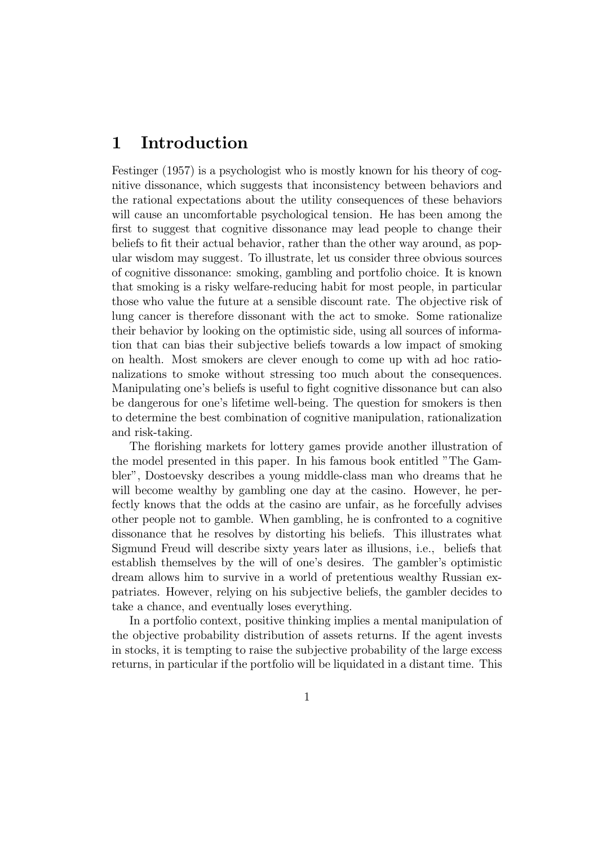### 1 Introduction

Festinger (1957) is a psychologist who is mostly known for his theory of cognitive dissonance, which suggests that inconsistency between behaviors and the rational expectations about the utility consequences of these behaviors will cause an uncomfortable psychological tension. He has been among the first to suggest that cognitive dissonance may lead people to change their beliefs to fit their actual behavior, rather than the other way around, as popular wisdom may suggest. To illustrate, let us consider three obvious sources of cognitive dissonance: smoking, gambling and portfolio choice. It is known that smoking is a risky welfare-reducing habit for most people, in particular those who value the future at a sensible discount rate. The objective risk of lung cancer is therefore dissonant with the act to smoke. Some rationalize their behavior by looking on the optimistic side, using all sources of information that can bias their subjective beliefs towards a low impact of smoking on health. Most smokers are clever enough to come up with ad hoc rationalizations to smoke without stressing too much about the consequences. Manipulating one's beliefs is useful to fight cognitive dissonance but can also be dangerous for one's lifetime well-being. The question for smokers is then to determine the best combination of cognitive manipulation, rationalization and risk-taking.

The florishing markets for lottery games provide another illustration of the model presented in this paper. In his famous book entitled "The Gambler", Dostoevsky describes a young middle-class man who dreams that he will become wealthy by gambling one day at the casino. However, he perfectly knows that the odds at the casino are unfair, as he forcefully advises other people not to gamble. When gambling, he is confronted to a cognitive dissonance that he resolves by distorting his beliefs. This illustrates what Sigmund Freud will describe sixty years later as illusions, i.e., beliefs that establish themselves by the will of one's desires. The gambler's optimistic dream allows him to survive in a world of pretentious wealthy Russian expatriates. However, relying on his subjective beliefs, the gambler decides to take a chance, and eventually loses everything.

In a portfolio context, positive thinking implies a mental manipulation of the objective probability distribution of assets returns. If the agent invests in stocks, it is tempting to raise the subjective probability of the large excess returns, in particular if the portfolio will be liquidated in a distant time. This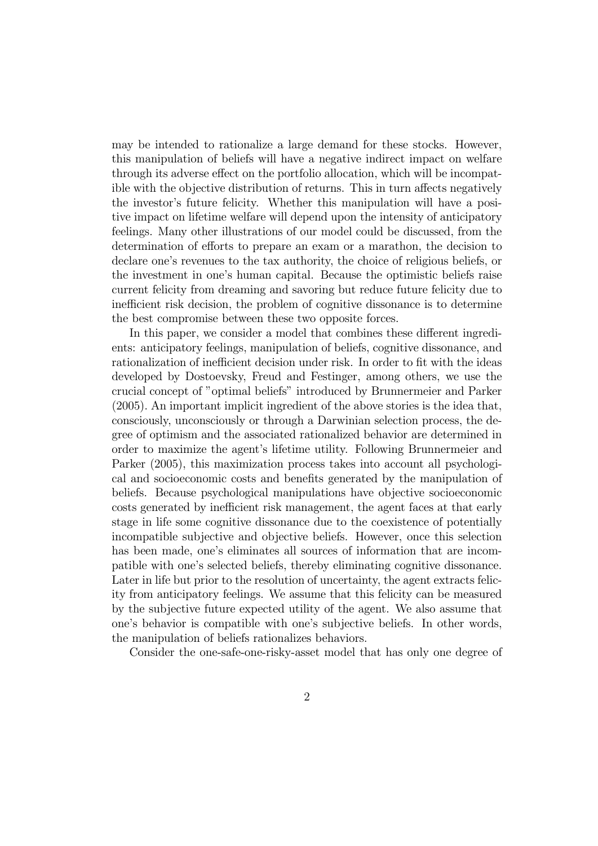may be intended to rationalize a large demand for these stocks. However, this manipulation of beliefs will have a negative indirect impact on welfare through its adverse effect on the portfolio allocation, which will be incompatible with the objective distribution of returns. This in turn affects negatively the investor's future felicity. Whether this manipulation will have a positive impact on lifetime welfare will depend upon the intensity of anticipatory feelings. Many other illustrations of our model could be discussed, from the determination of efforts to prepare an exam or a marathon, the decision to declare one's revenues to the tax authority, the choice of religious beliefs, or the investment in one's human capital. Because the optimistic beliefs raise current felicity from dreaming and savoring but reduce future felicity due to inefficient risk decision, the problem of cognitive dissonance is to determine the best compromise between these two opposite forces.

In this paper, we consider a model that combines these different ingredients: anticipatory feelings, manipulation of beliefs, cognitive dissonance, and rationalization of inefficient decision under risk. In order to fit with the ideas developed by Dostoevsky, Freud and Festinger, among others, we use the crucial concept of "optimal beliefs" introduced by Brunnermeier and Parker (2005). An important implicit ingredient of the above stories is the idea that, consciously, unconsciously or through a Darwinian selection process, the degree of optimism and the associated rationalized behavior are determined in order to maximize the agent's lifetime utility. Following Brunnermeier and Parker (2005), this maximization process takes into account all psychological and socioeconomic costs and benefits generated by the manipulation of beliefs. Because psychological manipulations have objective socioeconomic costs generated by inefficient risk management, the agent faces at that early stage in life some cognitive dissonance due to the coexistence of potentially incompatible subjective and objective beliefs. However, once this selection has been made, one's eliminates all sources of information that are incompatible with one's selected beliefs, thereby eliminating cognitive dissonance. Later in life but prior to the resolution of uncertainty, the agent extracts felicity from anticipatory feelings. We assume that this felicity can be measured by the subjective future expected utility of the agent. We also assume that one's behavior is compatible with one's subjective beliefs. In other words, the manipulation of beliefs rationalizes behaviors.

Consider the one-safe-one-risky-asset model that has only one degree of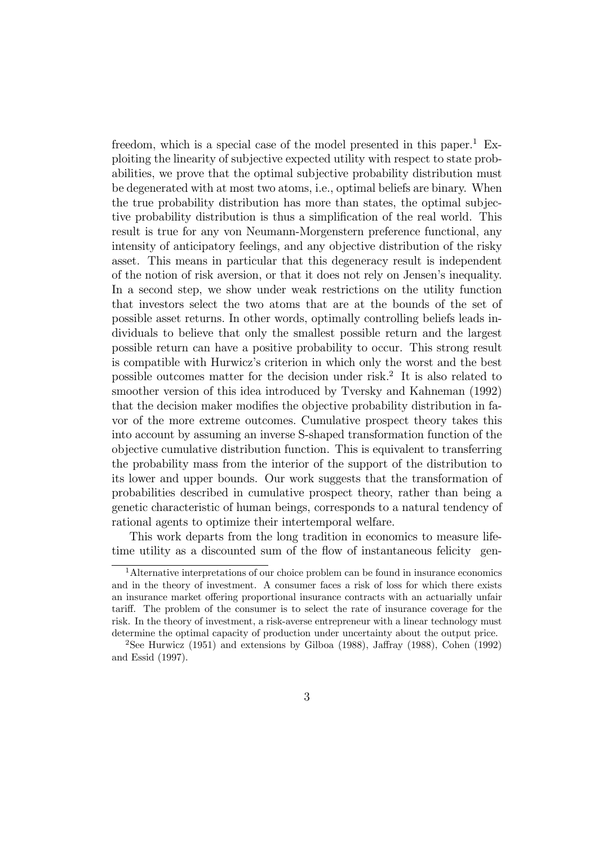freedom, which is a special case of the model presented in this paper.<sup>1</sup> Exploiting the linearity of subjective expected utility with respect to state probabilities, we prove that the optimal subjective probability distribution must be degenerated with at most two atoms, i.e., optimal beliefs are binary. When the true probability distribution has more than states, the optimal subjective probability distribution is thus a simplification of the real world. This result is true for any von Neumann-Morgenstern preference functional, any intensity of anticipatory feelings, and any objective distribution of the risky asset. This means in particular that this degeneracy result is independent of the notion of risk aversion, or that it does not rely on Jensen's inequality. In a second step, we show under weak restrictions on the utility function that investors select the two atoms that are at the bounds of the set of possible asset returns. In other words, optimally controlling beliefs leads individuals to believe that only the smallest possible return and the largest possible return can have a positive probability to occur. This strong result is compatible with Hurwicz's criterion in which only the worst and the best possible outcomes matter for the decision under risk.<sup>2</sup> It is also related to smoother version of this idea introduced by Tversky and Kahneman (1992) that the decision maker modifies the objective probability distribution in favor of the more extreme outcomes. Cumulative prospect theory takes this into account by assuming an inverse S-shaped transformation function of the objective cumulative distribution function. This is equivalent to transferring the probability mass from the interior of the support of the distribution to its lower and upper bounds. Our work suggests that the transformation of probabilities described in cumulative prospect theory, rather than being a genetic characteristic of human beings, corresponds to a natural tendency of rational agents to optimize their intertemporal welfare.

This work departs from the long tradition in economics to measure lifetime utility as a discounted sum of the flow of instantaneous felicity gen-

<sup>&</sup>lt;sup>1</sup>Alternative interpretations of our choice problem can be found in insurance economics and in the theory of investment. A consumer faces a risk of loss for which there exists an insurance market offering proportional insurance contracts with an actuarially unfair tariff. The problem of the consumer is to select the rate of insurance coverage for the risk. In the theory of investment, a risk-averse entrepreneur with a linear technology must determine the optimal capacity of production under uncertainty about the output price.

<sup>2</sup>See Hurwicz (1951) and extensions by Gilboa (1988), Jaffray (1988), Cohen (1992) and Essid (1997).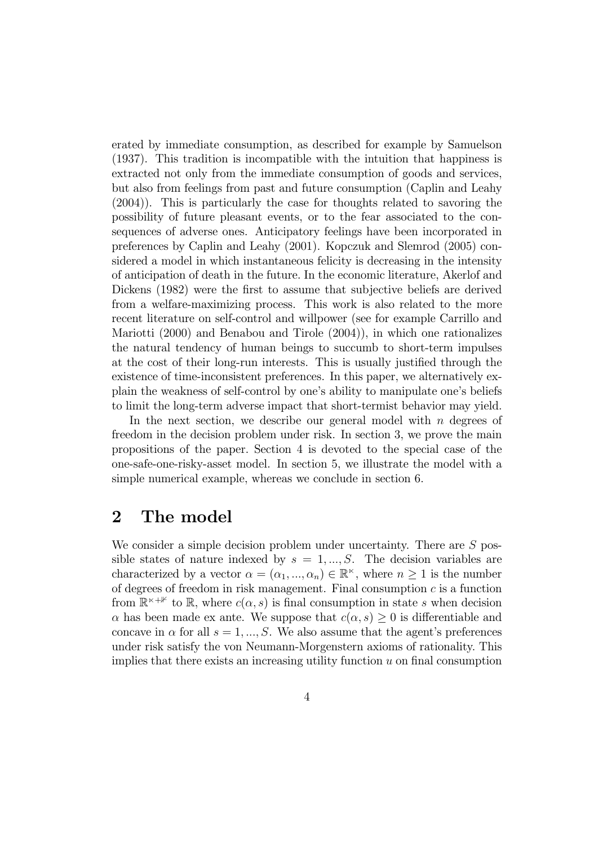erated by immediate consumption, as described for example by Samuelson (1937). This tradition is incompatible with the intuition that happiness is extracted not only from the immediate consumption of goods and services, but also from feelings from past and future consumption (Caplin and Leahy (2004)). This is particularly the case for thoughts related to savoring the possibility of future pleasant events, or to the fear associated to the consequences of adverse ones. Anticipatory feelings have been incorporated in preferences by Caplin and Leahy (2001). Kopczuk and Slemrod (2005) considered a model in which instantaneous felicity is decreasing in the intensity of anticipation of death in the future. In the economic literature, Akerlof and Dickens (1982) were the first to assume that subjective beliefs are derived from a welfare-maximizing process. This work is also related to the more recent literature on self-control and willpower (see for example Carrillo and Mariotti (2000) and Benabou and Tirole (2004)), in which one rationalizes the natural tendency of human beings to succumb to short-term impulses at the cost of their long-run interests. This is usually justified through the existence of time-inconsistent preferences. In this paper, we alternatively explain the weakness of self-control by one's ability to manipulate one's beliefs to limit the long-term adverse impact that short-termist behavior may yield.

In the next section, we describe our general model with  $n$  degrees of freedom in the decision problem under risk. In section 3, we prove the main propositions of the paper. Section 4 is devoted to the special case of the one-safe-one-risky-asset model. In section 5, we illustrate the model with a simple numerical example, whereas we conclude in section 6.

## 2 The model

We consider a simple decision problem under uncertainty. There are  $S$  possible states of nature indexed by  $s = 1, ..., S$ . The decision variables are characterized by a vector  $\alpha = (\alpha_1, ..., \alpha_n) \in \mathbb{R}^{\kappa}$ , where  $n \geq 1$  is the number of degrees of freedom in risk management. Final consumption  $c$  is a function from  $\mathbb{R}^{\kappa+\mathbb{1}}$  to R, where  $c(\alpha, s)$  is final consumption in state s when decision  $\alpha$  has been made ex ante. We suppose that  $c(\alpha, s) \geq 0$  is differentiable and concave in  $\alpha$  for all  $s = 1, ..., S$ . We also assume that the agent's preferences under risk satisfy the von Neumann-Morgenstern axioms of rationality. This implies that there exists an increasing utility function  $u$  on final consumption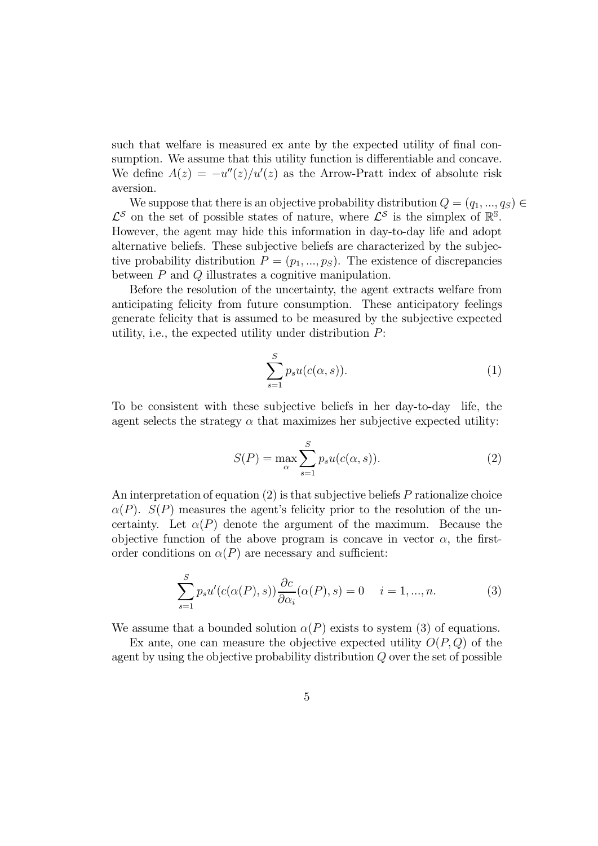such that welfare is measured ex ante by the expected utility of final consumption. We assume that this utility function is differentiable and concave. We define  $A(z) = -u''(z)/u'(z)$  as the Arrow-Pratt index of absolute risk aversion.

We suppose that there is an objective probability distribution  $Q = (q_1, ..., q_S) \in$  $\mathcal{L}^{\mathcal{S}}$  on the set of possible states of nature, where  $\mathcal{L}^{\mathcal{S}}$  is the simplex of  $\mathbb{R}^{\mathbb{S}}$ . However, the agent may hide this information in day-to-day life and adopt alternative beliefs. These subjective beliefs are characterized by the subjective probability distribution  $P = (p_1, ..., p_S)$ . The existence of discrepancies between  $P$  and  $Q$  illustrates a cognitive manipulation.

Before the resolution of the uncertainty, the agent extracts welfare from anticipating felicity from future consumption. These anticipatory feelings generate felicity that is assumed to be measured by the subjective expected utility, i.e., the expected utility under distribution  $P$ :

$$
\sum_{s=1}^{S} p_s u(c(\alpha, s)).
$$
 (1)

To be consistent with these subjective beliefs in her day-to-day life, the agent selects the strategy  $\alpha$  that maximizes her subjective expected utility:

$$
S(P) = \max_{\alpha} \sum_{s=1}^{S} p_s u(c(\alpha, s)).
$$
 (2)

An interpretation of equation  $(2)$  is that subjective beliefs P rationalize choice  $\alpha(P)$ .  $S(P)$  measures the agent's felicity prior to the resolution of the uncertainty. Let  $\alpha(P)$  denote the argument of the maximum. Because the objective function of the above program is concave in vector  $\alpha$ , the firstorder conditions on  $\alpha(P)$  are necessary and sufficient:

$$
\sum_{s=1}^{S} p_s u'(c(\alpha(P), s)) \frac{\partial c}{\partial \alpha_i}(\alpha(P), s) = 0 \quad i = 1, ..., n.
$$
 (3)

We assume that a bounded solution  $\alpha(P)$  exists to system (3) of equations.

Ex ante, one can measure the objective expected utility  $O(P,Q)$  of the agent by using the objective probability distribution  $Q$  over the set of possible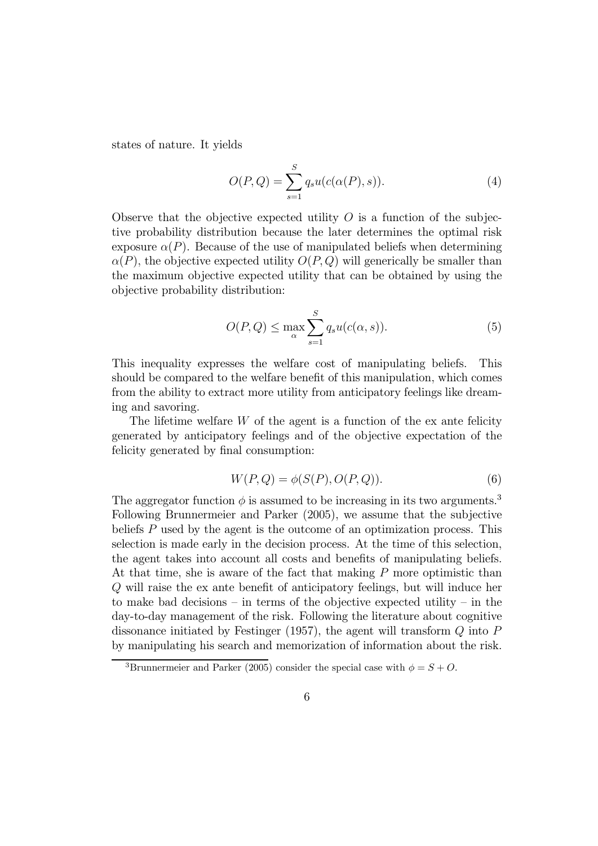states of nature. It yields

$$
O(P,Q) = \sum_{s=1}^{S} q_s u(c(\alpha(P), s)).
$$
\n(4)

Observe that the objective expected utility  $O$  is a function of the subjective probability distribution because the later determines the optimal risk exposure  $\alpha(P)$ . Because of the use of manipulated beliefs when determining  $\alpha(P)$ , the objective expected utility  $O(P,Q)$  will generically be smaller than the maximum objective expected utility that can be obtained by using the objective probability distribution:

$$
O(P,Q) \le \max_{\alpha} \sum_{s=1}^{S} q_s u(c(\alpha, s)).
$$
\n(5)

This inequality expresses the welfare cost of manipulating beliefs. This should be compared to the welfare benefit of this manipulation, which comes from the ability to extract more utility from anticipatory feelings like dreaming and savoring.

The lifetime welfare  $W$  of the agent is a function of the ex ante felicity generated by anticipatory feelings and of the objective expectation of the felicity generated by final consumption:

$$
W(P,Q) = \phi(S(P), O(P,Q)).
$$
\n<sup>(6)</sup>

The aggregator function  $\phi$  is assumed to be increasing in its two arguments.<sup>3</sup> Following Brunnermeier and Parker (2005), we assume that the subjective beliefs  $P$  used by the agent is the outcome of an optimization process. This selection is made early in the decision process. At the time of this selection, the agent takes into account all costs and benefits of manipulating beliefs. At that time, she is aware of the fact that making  $P$  more optimistic than will raise the ex ante benefit of anticipatory feelings, but will induce her to make bad decisions – in terms of the objective expected utility – in the day-to-day management of the risk. Following the literature about cognitive dissonance initiated by Festinger (1957), the agent will transform  $Q$  into  $P$ by manipulating his search and memorization of information about the risk.

<sup>&</sup>lt;sup>3</sup>Brunnermeier and Parker (2005) consider the special case with  $\phi = S + O$ .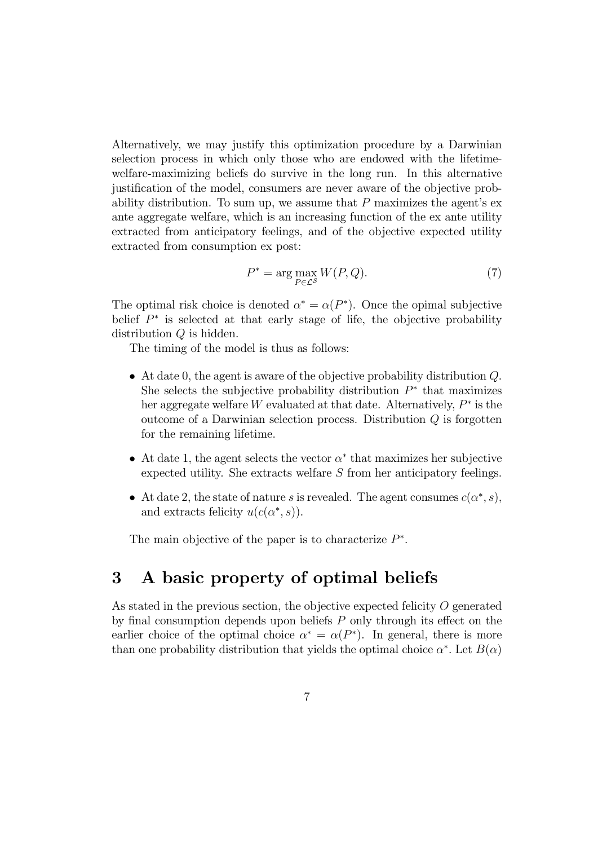Alternatively, we may justify this optimization procedure by a Darwinian selection process in which only those who are endowed with the lifetimewelfare-maximizing beliefs do survive in the long run. In this alternative justification of the model, consumers are never aware of the objective probability distribution. To sum up, we assume that  $P$  maximizes the agent's exante aggregate welfare, which is an increasing function of the ex ante utility extracted from anticipatory feelings, and of the objective expected utility extracted from consumption ex post:

$$
P^* = \arg\max_{P \in \mathcal{L}^S} W(P, Q). \tag{7}
$$

The optimal risk choice is denoted  $\alpha^* = \alpha(P^*)$ . Once the opimal subjective belief  $P^*$  is selected at that early stage of life, the objective probability distribution  $Q$  is hidden.

The timing of the model is thus as follows:

- At date 0, the agent is aware of the objective probability distribution  $Q$ . She selects the subjective probability distribution  $P^*$  that maximizes her aggregate welfare W evaluated at that date. Alternatively,  $P^*$  is the outcome of a Darwinian selection process. Distribution  $Q$  is forgotten for the remaining lifetime.
- At date 1, the agent selects the vector  $\alpha^*$  that maximizes her subjective expected utility. She extracts welfare  $S$  from her anticipatory feelings.
- At date 2, the state of nature s is revealed. The agent consumes  $c(\alpha^*, s)$ , and extracts felicity  $u(c(\alpha^*, s))$ .

The main objective of the paper is to characterize  $P^*$ .

## 3 A basic property of optimal beliefs

As stated in the previous section, the objective expected felicity  $O$  generated by final consumption depends upon beliefs  $P$  only through its effect on the earlier choice of the optimal choice  $\alpha^* = \alpha(P^*)$ . In general, there is more than one probability distribution that yields the optimal choice  $\alpha^*$ . Let  $B(\alpha)$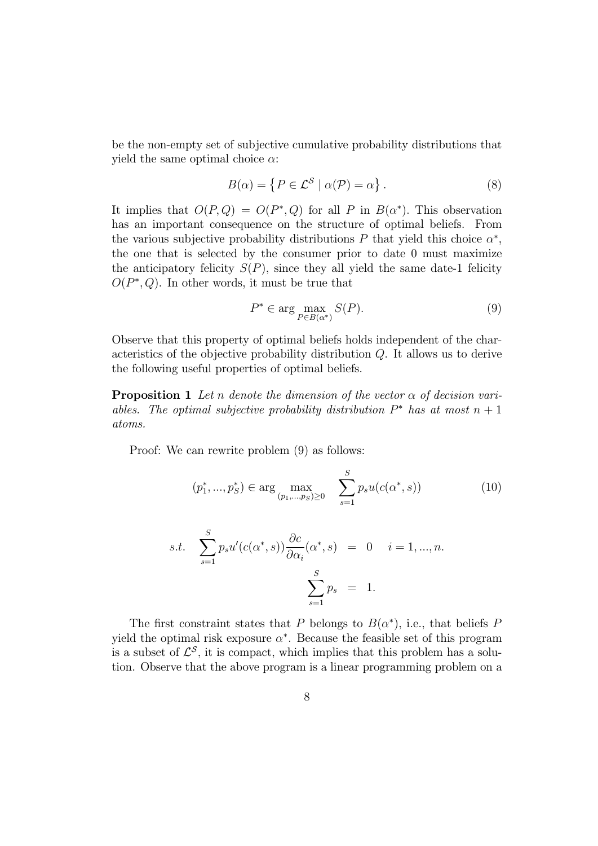be the non-empty set of subjective cumulative probability distributions that yield the same optimal choice  $\alpha$ :

$$
B(\alpha) = \{ P \in \mathcal{L}^{\mathcal{S}} \mid \alpha(\mathcal{P}) = \alpha \}.
$$
 (8)

It implies that  $O(P,Q) = O(P^*,Q)$  for all P in  $B(\alpha^*)$ . This observation has an important consequence on the structure of optimal beliefs. From the various subjective probability distributions  $P$  that yield this choice  $\alpha^*$ , the one that is selected by the consumer prior to date 0 must maximize the anticipatory felicity  $S(P)$ , since they all yield the same date-1 felicity  $O(P^*, Q)$ . In other words, it must be true that

$$
P^* \in \arg\max_{P \in B(\alpha^*)} S(P). \tag{9}
$$

Observe that this property of optimal beliefs holds independent of the characteristics of the objective probability distribution  $Q$ . It allows us to derive the following useful properties of optimal beliefs.

**Proposition 1** Let *n* denote the dimension of the vector  $\alpha$  of decision variables. The optimal subjective probability distribution  $P^*$  has at most  $n+1$ atoms.

Proof: We can rewrite problem (9) as follows:

$$
(p_1^*, ..., p_S^*) \in \arg\max_{(p_1, ..., p_S) \ge 0} \quad \sum_{s=1}^S p_s u(c(\alpha^*, s)) \tag{10}
$$

s.t. 
$$
\sum_{s=1}^{S} p_s u'(c(\alpha^*, s)) \frac{\partial c}{\partial \alpha_i}(\alpha^*, s) = 0 \quad i = 1, ..., n.
$$

$$
\sum_{s=1}^{S} p_s = 1.
$$

The first constraint states that P belongs to  $B(\alpha^*)$ , i.e., that beliefs P yield the optimal risk exposure  $\alpha^*$ . Because the feasible set of this program is a subset of  $\mathcal{L}^{\mathcal{S}}$ , it is compact, which implies that this problem has a solution. Observe that the above program is a linear programming problem on a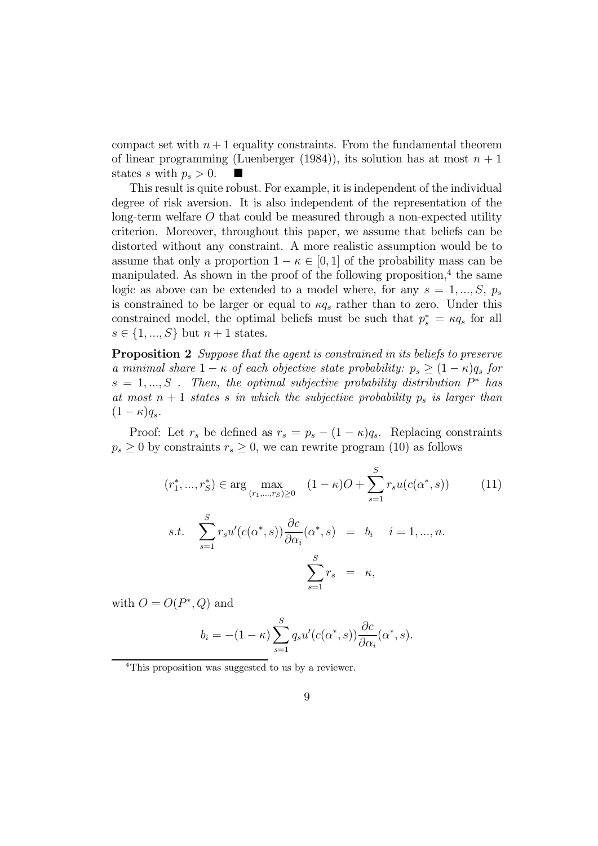compact set with  $n+1$  equality constraints. From the fundamental theorem of linear programming (Luenberger (1984)), its solution has at most  $n+1$ states s with  $p_s > 0$ .

This result is quite robust. For example, it is independent of the individual degree of risk aversion. It is also independent of the representation of the  $\log$ -term welfare O that could be measured through a non-expected utility criterion. Moreover, throughout this paper, we assume that beliefs can be distorted without any constraint. A more realistic assumption would be to assume that only a proportion  $1 - \kappa \in [0, 1]$  of the probability mass can be manipulated. As shown in the proof of the following proposition,<sup>4</sup> the same logic as above can be extended to a model where, for any  $s = 1, ..., S, p_s$ is constrained to be larger or equal to  $\kappa q_s$  rather than to zero. Under this constrained model, the optimal beliefs must be such that  $p_s^* = \kappa q_s$  for all  $s \in \{1, ..., S\}$  but  $n + 1$  states.

Proposition 2 Suppose that the agent is constrained in its beliefs to preserve a minimal share  $1 - \kappa$  of each objective state probability:  $p_s > (1 - \kappa)q_s$  for  $s = 1, ..., S$ . Then, the optimal subjective probability distribution  $P^*$  has at most  $n + 1$  states s in which the subjective probability  $p_s$  is larger than  $(1 - \kappa) q_s.$ 

Proof: Let  $r_s$  be defined as  $r_s = p_s - (1 - \kappa) q_s$ . Replacing constraints  $p_s \geq 0$  by constraints  $r_s \geq 0$ , we can rewrite program (10) as follows

$$
(r_1^*, ..., r_S^*) \in \arg\max_{(r_1, ..., r_S) \ge 0} (1 - \kappa)O + \sum_{s=1}^S r_s u(c(\alpha^*, s))
$$
(11)  
s.t. 
$$
\sum_{s=1}^S r_s u'(c(\alpha^*, s)) \frac{\partial c}{\partial \alpha_i}(\alpha^*, s) = b_i \quad i = 1, ..., n.
$$

$$
\sum_{s=1}^S r_s = \kappa,
$$

with  $O = O(P^*, Q)$  and

$$
b_i = -(1 - \kappa) \sum_{s=1}^{S} q_s u'(c(\alpha^*, s)) \frac{\partial c}{\partial \alpha_i}(\alpha^*, s).
$$

<sup>4</sup>This proposition was suggested to us by a reviewer.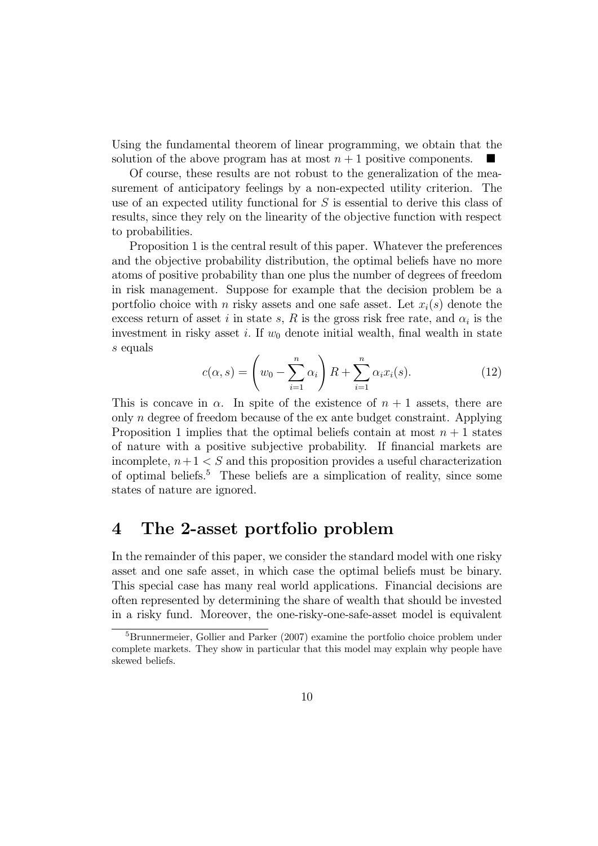Using the fundamental theorem of linear programming, we obtain that the solution of the above program has at most  $n+1$  positive components.

Of course, these results are not robust to the generalization of the measurement of anticipatory feelings by a non-expected utility criterion. The use of an expected utility functional for  $S$  is essential to derive this class of results, since they rely on the linearity of the objective function with respect to probabilities.

Proposition 1 is the central result of this paper. Whatever the preferences and the objective probability distribution, the optimal beliefs have no more atoms of positive probability than one plus the number of degrees of freedom in risk management. Suppose for example that the decision problem be a portfolio choice with *n* risky assets and one safe asset. Let  $x_i(s)$  denote the excess return of asset *i* in state s, R is the gross risk free rate, and  $\alpha_i$  is the investment in risky asset *i*. If  $w_0$  denote initial wealth, final wealth in state s equals

$$
c(\alpha, s) = \left(w_0 - \sum_{i=1}^n \alpha_i\right) R + \sum_{i=1}^n \alpha_i x_i(s).
$$
 (12)

This is concave in  $\alpha$ . In spite of the existence of  $n + 1$  assets, there are only  $n$  degree of freedom because of the ex ante budget constraint. Applying Proposition 1 implies that the optimal beliefs contain at most  $n + 1$  states of nature with a positive subjective probability. If financial markets are incomplete,  $n+1 < S$  and this proposition provides a useful characterization of optimal beliefs.<sup>5</sup> These beliefs are a simplication of reality, since some states of nature are ignored.

### 4 The 2-asset portfolio problem

In the remainder of this paper, we consider the standard model with one risky asset and one safe asset, in which case the optimal beliefs must be binary. This special case has many real world applications. Financial decisions are often represented by determining the share of wealth that should be invested in a risky fund. Moreover, the one-risky-one-safe-asset model is equivalent

<sup>&</sup>lt;sup>5</sup>Brunnermeier, Gollier and Parker (2007) examine the portfolio choice problem under complete markets. They show in particular that this model may explain why people have skewed beliefs.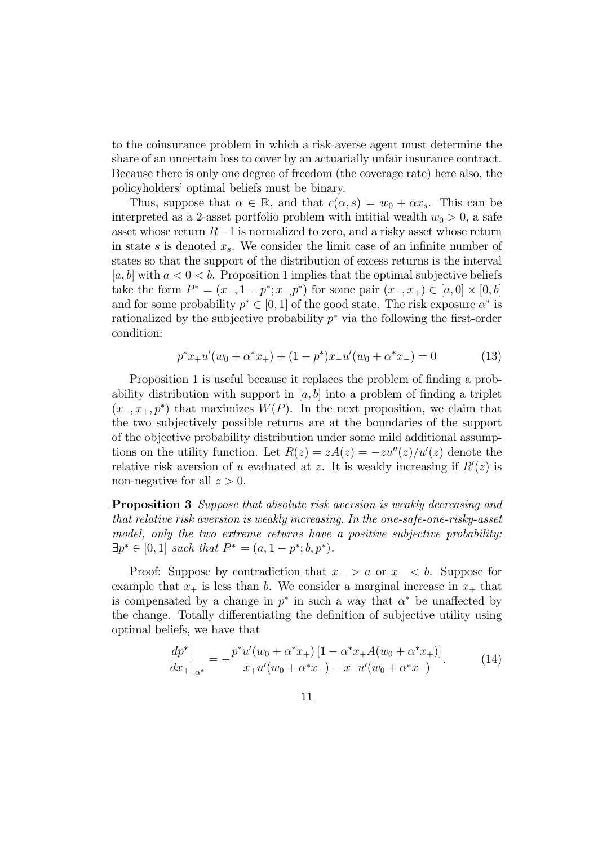to the coinsurance problem in which a risk-averse agent must determine the share of an uncertain loss to cover by an actuarially unfair insurance contract. Because there is only one degree of freedom (the coverage rate) here also, the policyholders' optimal beliefs must be binary.

Thus, suppose that  $\alpha \in \mathbb{R}$ , and that  $c(\alpha, s) = w_0 + \alpha x_s$ . This can be interpreted as a 2-asset portfolio problem with intitial wealth  $w_0 > 0$ , a safe asset whose return  $R-1$  is normalized to zero, and a risky asset whose return in state  $s$  is denoted  $x_s$ . We consider the limit case of an infinite number of states so that the support of the distribution of excess returns is the interval [a, b] with  $a < 0 < b$ . Proposition 1 implies that the optimal subjective beliefs take the form  $P^* = (x_-, 1 - p^*; x_+ p^*)$  for some pair  $(x_-, x_+) \in [a, 0] \times [0, b]$ and for some probability  $p^* \in [0, 1]$  of the good state. The risk exposure  $\alpha^*$  is rationalized by the subjective probability  $p^*$  via the following the first-order condition:

$$
p^*x_+u'(w_0 + \alpha^*x_+) + (1 - p^*)x_-u'(w_0 + \alpha^*x_-) = 0 \tag{13}
$$

Proposition 1 is useful because it replaces the problem of finding a probability distribution with support in  $[a, b]$  into a problem of finding a triplet  $(x_-, x_+, p^*)$  that maximizes  $W(P)$ . In the next proposition, we claim that the two subjectively possible returns are at the boundaries of the support of the objective probability distribution under some mild additional assumptions on the utility function. Let  $R(z) = zA(z) = -zu''(z)/u'(z)$  denote the relative risk aversion of u evaluated at z. It is weakly increasing if  $R'(z)$  is non-negative for all  $z > 0$ .

Proposition 3 Suppose that absolute risk aversion is weakly decreasing and that relative risk aversion is weakly increasing. In the one-safe-one-risky-asset model, only the two extreme returns have a positive subjective probability:  $\exists p^* \in [0,1]$  such that  $P^* = (a, 1 - p^*; b, p^*).$ 

Proof: Suppose by contradiction that  $x_-> a$  or  $x_+ < b$ . Suppose for example that  $x_+$  is less than b. We consider a marginal increase in  $x_+$  that is compensated by a change in  $p^*$  in such a way that  $\alpha^*$  be unaffected by the change. Totally differentiating the definition of subjective utility using optimal beliefs, we have that

$$
\left. \frac{dp^*}{dx_+} \right|_{\alpha^*} = -\frac{p^* u'(w_0 + \alpha^* x_+) \left[1 - \alpha^* x_+ A(w_0 + \alpha^* x_+)\right]}{x_+ u'(w_0 + \alpha^* x_+) - x_- u'(w_0 + \alpha^* x_-)}.
$$
\n(14)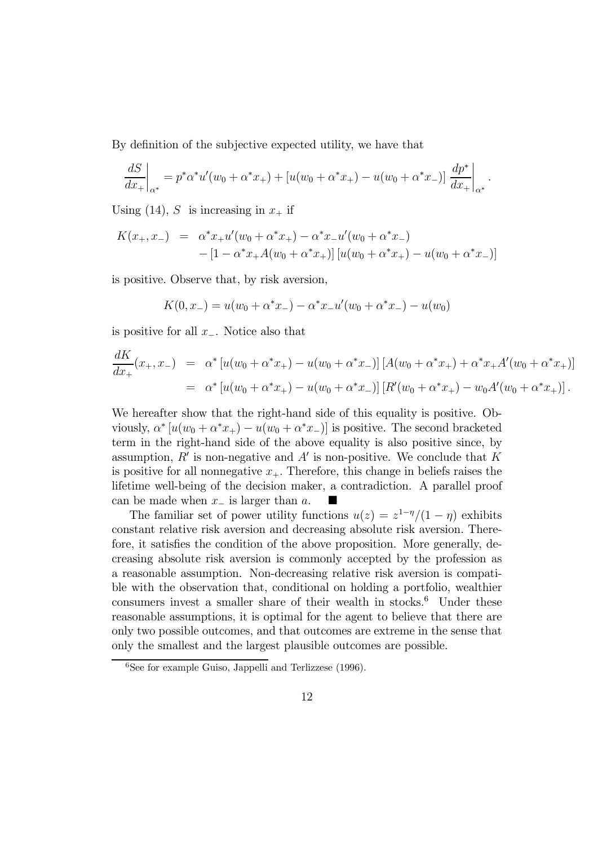By definition of the subjective expected utility, we have that

$$
\frac{dS}{dx_{+}}\bigg|_{\alpha^{*}} = p^{*}\alpha^{*}u'(w_{0} + \alpha^{*}x_{+}) + [u(w_{0} + \alpha^{*}x_{+}) - u(w_{0} + \alpha^{*}x_{-})] \frac{dp^{*}}{dx_{+}}\bigg|_{\alpha^{*}}.
$$

Using (14), S is increasing in  $x_+$  if

$$
K(x_+, x_-) = \alpha^* x_+ u'(w_0 + \alpha^* x_+) - \alpha^* x_- u'(w_0 + \alpha^* x_-)
$$
  
- 
$$
[1 - \alpha^* x_+ A(w_0 + \alpha^* x_+)] [u(w_0 + \alpha^* x_+) - u(w_0 + \alpha^* x_-)]
$$

is positive. Observe that, by risk aversion,

$$
K(0, x_{-}) = u(w_{0} + \alpha^{*} x_{-}) - \alpha^{*} x_{-} u'(w_{0} + \alpha^{*} x_{-}) - u(w_{0})
$$

is positive for all  $x_$ . Notice also that

$$
\frac{dK}{dx_+}(x_+,x_-) = \alpha^* [u(w_0 + \alpha^* x_+) - u(w_0 + \alpha^* x_-)] [A(w_0 + \alpha^* x_+) + \alpha^* x_+ A'(w_0 + \alpha^* x_+)]
$$
  

$$
= \alpha^* [u(w_0 + \alpha^* x_+) - u(w_0 + \alpha^* x_-)] [R'(w_0 + \alpha^* x_+) - w_0 A'(w_0 + \alpha^* x_+)].
$$

We hereafter show that the right-hand side of this equality is positive. Obviously,  $\alpha^* [u(w_0 + \alpha^* x_+) - u(w_0 + \alpha^* x_-)]$  is positive. The second bracketed term in the right-hand side of the above equality is also positive since, by assumption,  $R'$  is non-negative and  $A'$  is non-positive. We conclude that K is positive for all nonnegative  $x_{+}$ . Therefore, this change in beliefs raises the lifetime well-being of the decision maker, a contradiction. A parallel proof can be made when  $x_$  is larger than  $a$ .

The familiar set of power utility functions  $u(z) = z^{1-\eta}/(1-\eta)$  exhibits constant relative risk aversion and decreasing absolute risk aversion. Therefore, it satisfies the condition of the above proposition. More generally, decreasing absolute risk aversion is commonly accepted by the profession as a reasonable assumption. Non-decreasing relative risk aversion is compatible with the observation that, conditional on holding a portfolio, wealthier consumers invest a smaller share of their wealth in stocks.<sup>6</sup> Under these reasonable assumptions, it is optimal for the agent to believe that there are only two possible outcomes, and that outcomes are extreme in the sense that only the smallest and the largest plausible outcomes are possible.

<sup>6</sup>See for example Guiso, Jappelli and Terlizzese (1996).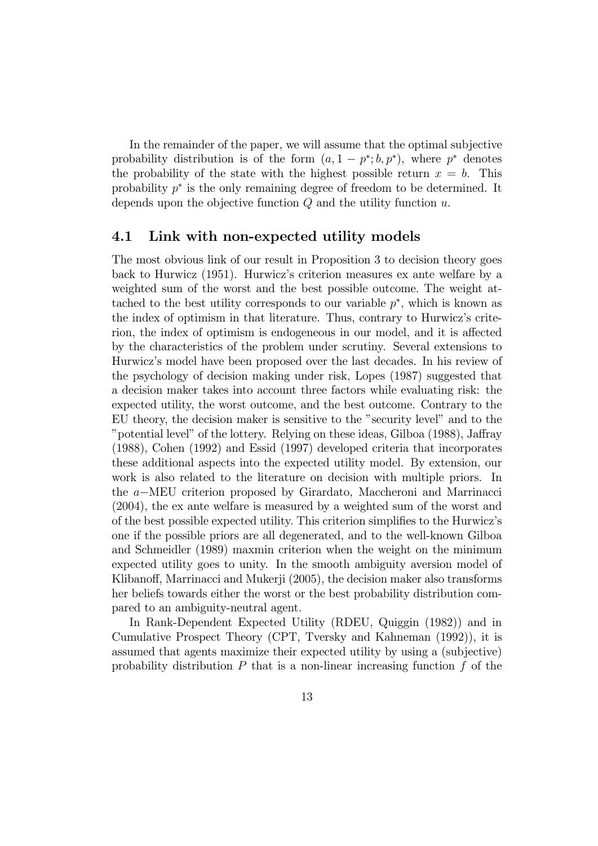In the remainder of the paper, we will assume that the optimal subjective probability distribution is of the form  $(a, 1 - p^*; b, p^*)$ , where  $p^*$  denotes the probability of the state with the highest possible return  $x = b$ . This probability  $p^*$  is the only remaining degree of freedom to be determined. It depends upon the objective function  $Q$  and the utility function  $u$ .

#### 4.1 Link with non-expected utility models

The most obvious link of our result in Proposition 3 to decision theory goes back to Hurwicz (1951). Hurwicz's criterion measures ex ante welfare by a weighted sum of the worst and the best possible outcome. The weight attached to the best utility corresponds to our variable  $p^*$ , which is known as the index of optimism in that literature. Thus, contrary to Hurwicz's criterion, the index of optimism is endogeneous in our model, and it is affected by the characteristics of the problem under scrutiny. Several extensions to Hurwicz's model have been proposed over the last decades. In his review of the psychology of decision making under risk, Lopes (1987) suggested that a decision maker takes into account three factors while evaluating risk: the expected utility, the worst outcome, and the best outcome. Contrary to the EU theory, the decision maker is sensitive to the "security level" and to the "potential level" of the lottery. Relying on these ideas, Gilboa (1988), Jaffray (1988), Cohen (1992) and Essid (1997) developed criteria that incorporates these additional aspects into the expected utility model. By extension, our work is also related to the literature on decision with multiple priors. In the a–MEU criterion proposed by Girardato, Maccheroni and Marrinacci (2004), the ex ante welfare is measured by a weighted sum of the worst and of the best possible expected utility. This criterion simplifies to the Hurwicz's one if the possible priors are all degenerated, and to the well-known Gilboa and Schmeidler (1989) maxmin criterion when the weight on the minimum expected utility goes to unity. In the smooth ambiguity aversion model of Klibanoff, Marrinacci and Mukerji (2005), the decision maker also transforms her beliefs towards either the worst or the best probability distribution compared to an ambiguity-neutral agent.

In Rank-Dependent Expected Utility (RDEU, Quiggin (1982)) and in Cumulative Prospect Theory (CPT, Tversky and Kahneman (1992)), it is assumed that agents maximize their expected utility by using a (subjective) probability distribution  $P$  that is a non-linear increasing function  $f$  of the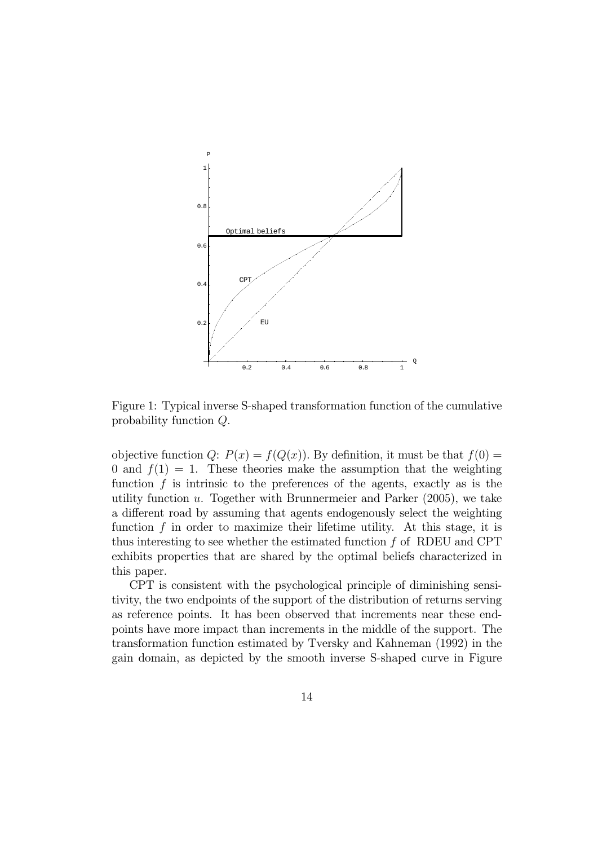

Figure 1: Typical inverse S-shaped transformation function of the cumulative probability function  $Q$ .

objective function Q:  $P(x) = f(Q(x))$ . By definition, it must be that  $f(0) =$ 0 and  $f(1) = 1$ . These theories make the assumption that the weighting function  $f$  is intrinsic to the preferences of the agents, exactly as is the utility function  $u$ . Together with Brunnermeier and Parker (2005), we take a different road by assuming that agents endogenously select the weighting function  $f$  in order to maximize their lifetime utility. At this stage, it is thus interesting to see whether the estimated function  $f$  of RDEU and CPT exhibits properties that are shared by the optimal beliefs characterized in this paper.

CPT is consistent with the psychological principle of diminishing sensitivity, the two endpoints of the support of the distribution of returns serving as reference points. It has been observed that increments near these endpoints have more impact than increments in the middle of the support. The transformation function estimated by Tversky and Kahneman (1992) in the gain domain, as depicted by the smooth inverse S-shaped curve in Figure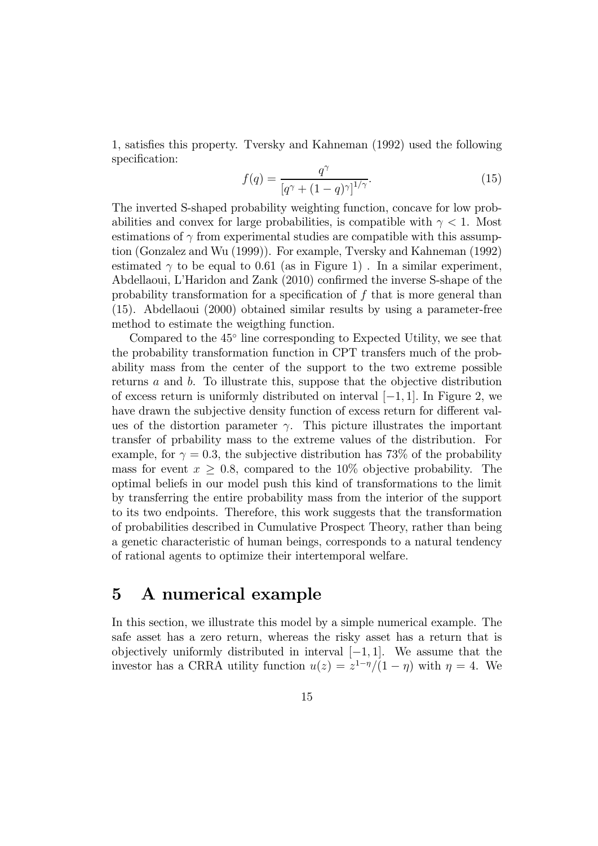1, satisfies this property. Tversky and Kahneman (1992) used the following specification:

$$
f(q) = \frac{q^{\gamma}}{\left[q^{\gamma} + (1-q)^{\gamma}\right]^{1/\gamma}}.
$$
\n(15)

The inverted S-shaped probability weighting function, concave for low probabilities and convex for large probabilities, is compatible with  $\gamma < 1$ . Most estimations of  $\gamma$  from experimental studies are compatible with this assumption (Gonzalez and Wu (1999)). For example, Tversky and Kahneman (1992) estimated  $\gamma$  to be equal to 0.61 (as in Figure 1). In a similar experiment, Abdellaoui, L'Haridon and Zank (2010) confirmed the inverse S-shape of the probability transformation for a specification of that is more general than (15). Abdellaoui (2000) obtained similar results by using a parameter-free method to estimate the weigthing function.

Compared to the 45◦ line corresponding to Expected Utility, we see that the probability transformation function in CPT transfers much of the probability mass from the center of the support to the two extreme possible returns  $a$  and  $b$ . To illustrate this, suppose that the objective distribution of excess return is uniformly distributed on interval  $[-1, 1]$ . In Figure 2, we have drawn the subjective density function of excess return for different values of the distortion parameter  $\gamma$ . This picture illustrates the important transfer of prbability mass to the extreme values of the distribution. For example, for  $\gamma = 0.3$ , the subjective distribution has 73% of the probability mass for event  $x \geq 0.8$ , compared to the 10% objective probability. The optimal beliefs in our model push this kind of transformations to the limit by transferring the entire probability mass from the interior of the support to its two endpoints. Therefore, this work suggests that the transformation of probabilities described in Cumulative Prospect Theory, rather than being a genetic characteristic of human beings, corresponds to a natural tendency of rational agents to optimize their intertemporal welfare.

# 5 A numerical example

In this section, we illustrate this model by a simple numerical example. The safe asset has a zero return, whereas the risky asset has a return that is objectively uniformly distributed in interval  $[-1, 1]$ . We assume that the investor has a CRRA utility function  $u(z) = z^{1-\eta}/(1-\eta)$  with  $\eta = 4$ . We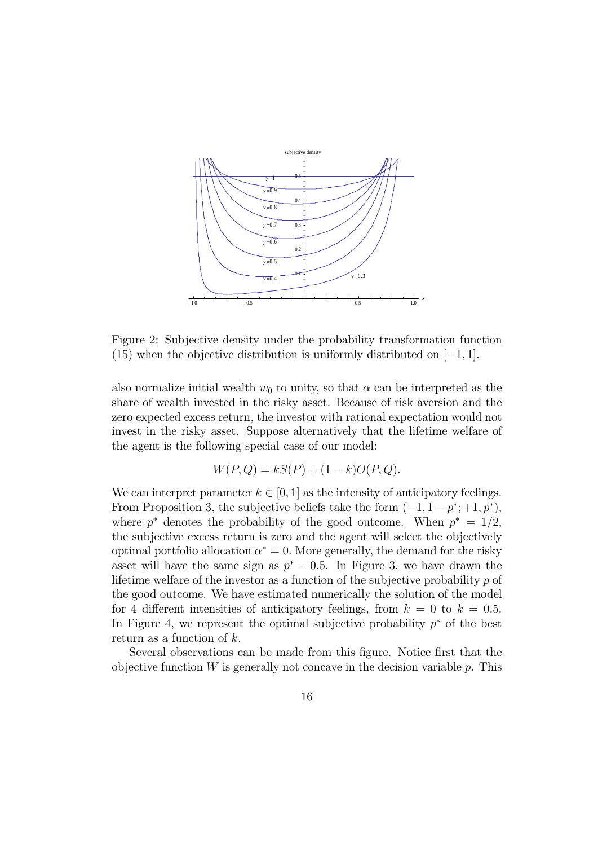

Figure 2: Subjective density under the probability transformation function (15) when the objective distribution is uniformly distributed on  $[-1, 1]$ .

also normalize initial wealth  $w_0$  to unity, so that  $\alpha$  can be interpreted as the share of wealth invested in the risky asset. Because of risk aversion and the zero expected excess return, the investor with rational expectation would not invest in the risky asset. Suppose alternatively that the lifetime welfare of the agent is the following special case of our model:

$$
W(P,Q) = kS(P) + (1 - k)O(P,Q).
$$

We can interpret parameter  $k \in [0, 1]$  as the intensity of anticipatory feelings. From Proposition 3, the subjective beliefs take the form  $(-1, 1 - p^*; +1, p^*),$ where  $p^*$  denotes the probability of the good outcome. When  $p^* = 1/2$ , the subjective excess return is zero and the agent will select the objectively optimal portfolio allocation  $\alpha^* = 0$ . More generally, the demand for the risky asset will have the same sign as  $p^* - 0.5$ . In Figure 3, we have drawn the lifetime welfare of the investor as a function of the subjective probability  $p$  of the good outcome. We have estimated numerically the solution of the model for 4 different intensities of anticipatory feelings, from  $k = 0$  to  $k = 0.5$ . In Figure 4, we represent the optimal subjective probability  $p^*$  of the best return as a function of  $k$ .

Several observations can be made from this figure. Notice first that the objective function  $W$  is generally not concave in the decision variable  $p$ . This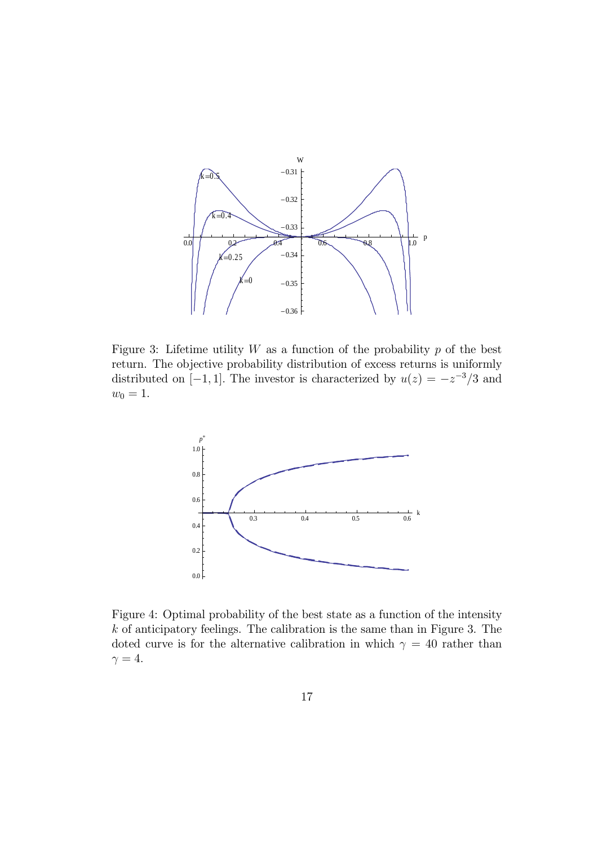

Figure 3: Lifetime utility  $W$  as a function of the probability  $p$  of the best return. The objective probability distribution of excess returns is uniformly distributed on [−1, 1]. The investor is characterized by  $u(z) = -z^{-3}/3$  and  $w_0 = 1.$ 



Figure 4: Optimal probability of the best state as a function of the intensity  $k$  of anticipatory feelings. The calibration is the same than in Figure 3. The doted curve is for the alternative calibration in which  $\gamma = 40$  rather than  $\gamma = 4.$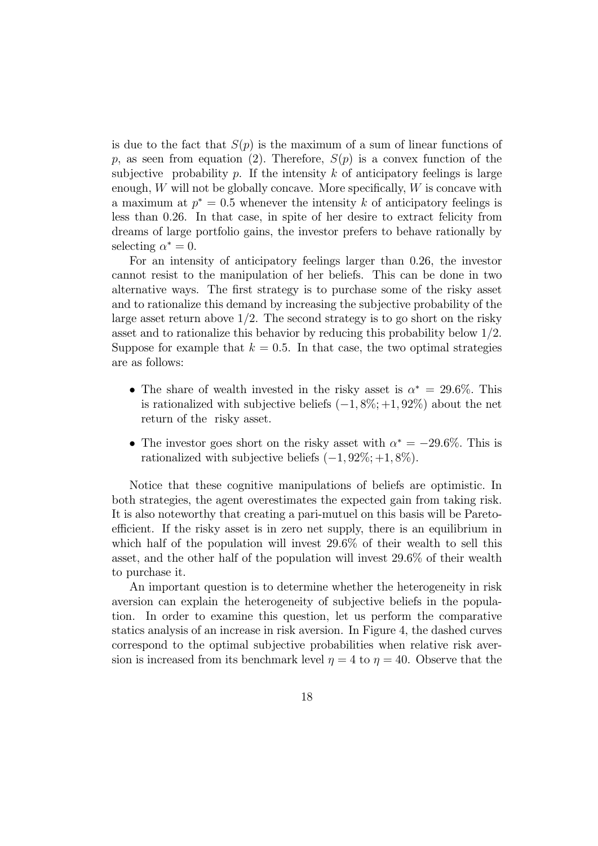is due to the fact that  $S(p)$  is the maximum of a sum of linear functions of p, as seen from equation (2). Therefore,  $S(p)$  is a convex function of the subjective probability  $p$ . If the intensity  $k$  of anticipatory feelings is large enough,  $W$  will not be globally concave. More specifically,  $W$  is concave with a maximum at  $p^* = 0.5$  whenever the intensity k of anticipatory feelings is less than 026. In that case, in spite of her desire to extract felicity from dreams of large portfolio gains, the investor prefers to behave rationally by selecting  $\alpha^* = 0$ .

For an intensity of anticipatory feelings larger than 0.26, the investor cannot resist to the manipulation of her beliefs. This can be done in two alternative ways. The first strategy is to purchase some of the risky asset and to rationalize this demand by increasing the subjective probability of the large asset return above  $1/2$ . The second strategy is to go short on the risky asset and to rationalize this behavior by reducing this probability below 12. Suppose for example that  $k = 0.5$ . In that case, the two optimal strategies are as follows:

- The share of wealth invested in the risky asset is  $\alpha^* = 29.6\%$ . This is rationalized with subjective beliefs  $(-1, 8\%; +1, 92\%)$  about the net return of the risky asset.
- The investor goes short on the risky asset with  $\alpha^* = -29.6\%$ . This is rationalized with subjective beliefs  $(-1, 92\%; +1, 8\%)$ .

Notice that these cognitive manipulations of beliefs are optimistic. In both strategies, the agent overestimates the expected gain from taking risk. It is also noteworthy that creating a pari-mutuel on this basis will be Paretoefficient. If the risky asset is in zero net supply, there is an equilibrium in which half of the population will invest 29.6% of their wealth to sell this asset, and the other half of the population will invest 29.6% of their wealth to purchase it.

An important question is to determine whether the heterogeneity in risk aversion can explain the heterogeneity of subjective beliefs in the population. In order to examine this question, let us perform the comparative statics analysis of an increase in risk aversion. In Figure 4, the dashed curves correspond to the optimal subjective probabilities when relative risk aversion is increased from its benchmark level  $\eta = 4$  to  $\eta = 40$ . Observe that the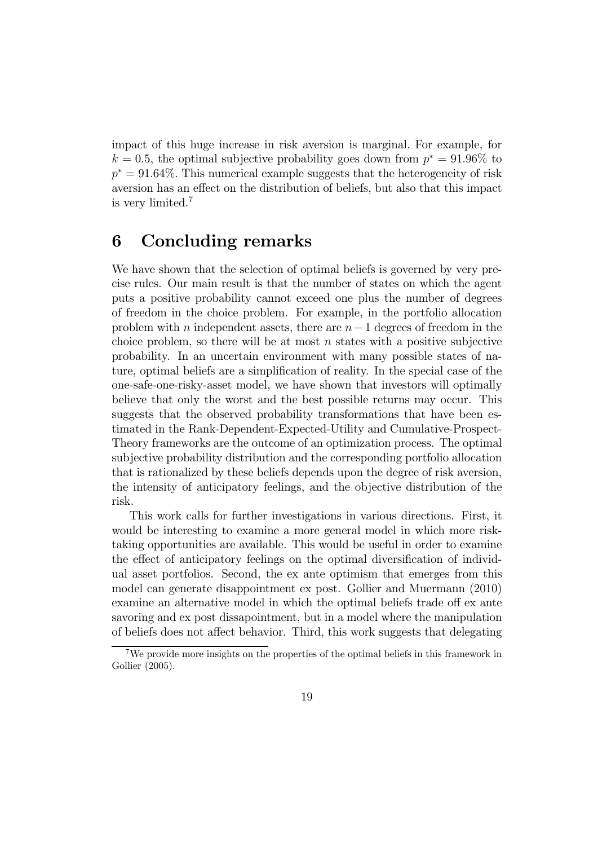impact of this huge increase in risk aversion is marginal. For example, for  $k = 0.5$ , the optimal subjective probability goes down from  $p^* = 91.96\%$  to  $p^* = 91.64\%$ . This numerical example suggests that the heterogeneity of risk aversion has an effect on the distribution of beliefs, but also that this impact is very limited.<sup>7</sup>

# 6 Concluding remarks

We have shown that the selection of optimal beliefs is governed by very precise rules. Our main result is that the number of states on which the agent puts a positive probability cannot exceed one plus the number of degrees of freedom in the choice problem. For example, in the portfolio allocation problem with  $n$  independent assets, there are  $n-1$  degrees of freedom in the choice problem, so there will be at most  $n$  states with a positive subjective probability. In an uncertain environment with many possible states of nature, optimal beliefs are a simplification of reality. In the special case of the one-safe-one-risky-asset model, we have shown that investors will optimally believe that only the worst and the best possible returns may occur. This suggests that the observed probability transformations that have been estimated in the Rank-Dependent-Expected-Utility and Cumulative-Prospect-Theory frameworks are the outcome of an optimization process. The optimal subjective probability distribution and the corresponding portfolio allocation that is rationalized by these beliefs depends upon the degree of risk aversion, the intensity of anticipatory feelings, and the objective distribution of the risk.

This work calls for further investigations in various directions. First, it would be interesting to examine a more general model in which more risktaking opportunities are available. This would be useful in order to examine the effect of anticipatory feelings on the optimal diversification of individual asset portfolios. Second, the ex ante optimism that emerges from this model can generate disappointment ex post. Gollier and Muermann (2010) examine an alternative model in which the optimal beliefs trade off ex ante savoring and ex post dissapointment, but in a model where the manipulation of beliefs does not affect behavior. Third, this work suggests that delegating

<sup>7</sup>We provide more insights on the properties of the optimal beliefs in this framework in Gollier (2005).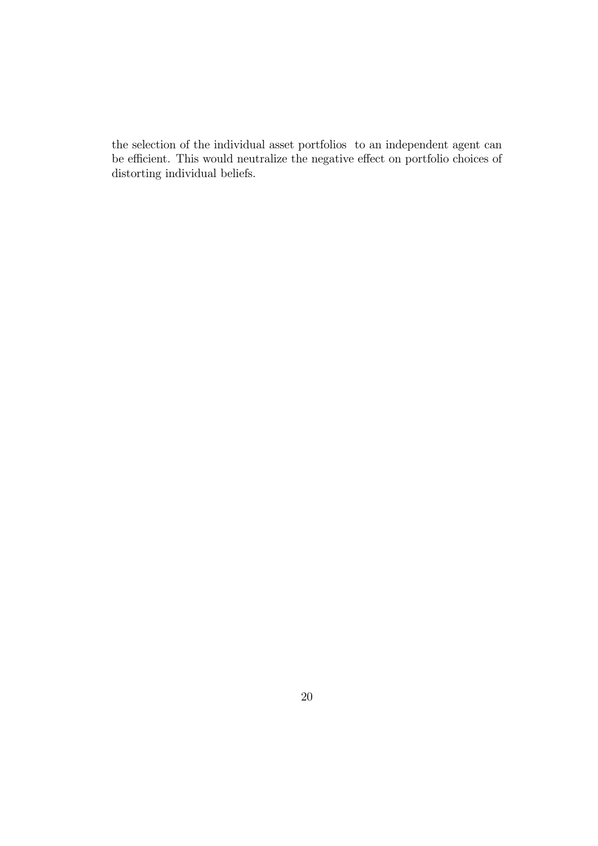the selection of the individual asset portfolios to an independent agent can be efficient. This would neutralize the negative effect on portfolio choices of distorting individual beliefs.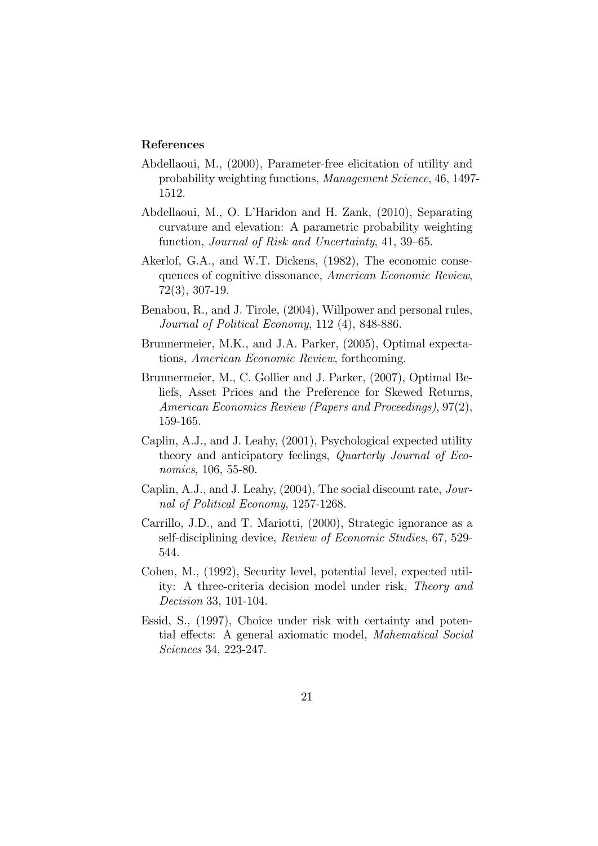#### References

- Abdellaoui, M., (2000), Parameter-free elicitation of utility and probability weighting functions, Management Science, 46, 1497- 1512.
- Abdellaoui, M., O. L'Haridon and H. Zank, (2010), Separating curvature and elevation: A parametric probability weighting function, Journal of Risk and Uncertainty, 41, 39—65.
- Akerlof, G.A., and W.T. Dickens, (1982), The economic consequences of cognitive dissonance, American Economic Review, 72(3), 307-19.
- Benabou, R., and J. Tirole, (2004), Willpower and personal rules, Journal of Political Economy, 112 (4), 848-886.
- Brunnermeier, M.K., and J.A. Parker, (2005), Optimal expectations, American Economic Review, forthcoming.
- Brunnermeier, M., C. Gollier and J. Parker, (2007), Optimal Beliefs, Asset Prices and the Preference for Skewed Returns, American Economics Review (Papers and Proceedings), 97(2), 159-165.
- Caplin, A.J., and J. Leahy, (2001), Psychological expected utility theory and anticipatory feelings, Quarterly Journal of Economics, 106, 55-80.
- Caplin, A.J., and J. Leahy, (2004), The social discount rate, Journal of Political Economy, 1257-1268.
- Carrillo, J.D., and T. Mariotti, (2000), Strategic ignorance as a self-disciplining device, Review of Economic Studies, 67, 529- 544.
- Cohen, M., (1992), Security level, potential level, expected utility: A three-criteria decision model under risk, Theory and Decision 33, 101-104.
- Essid, S., (1997), Choice under risk with certainty and potential effects: A general axiomatic model, Mahematical Social Sciences 34, 223-247.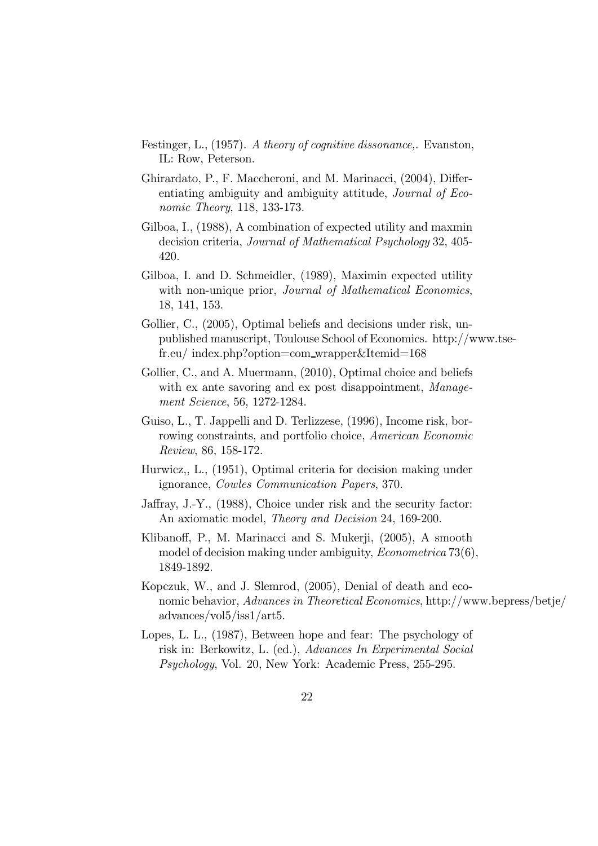- Festinger, L., (1957). A theory of cognitive dissonance,. Evanston, IL: Row, Peterson.
- Ghirardato, P., F. Maccheroni, and M. Marinacci, (2004), Differentiating ambiguity and ambiguity attitude, Journal of Economic Theory, 118, 133-173.
- Gilboa, I., (1988), A combination of expected utility and maxmin decision criteria, Journal of Mathematical Psychology 32, 405- 420.
- Gilboa, I. and D. Schmeidler, (1989), Maximin expected utility with non-unique prior, Journal of Mathematical Economics, 18, 141, 153.
- Gollier, C.,  $(2005)$ , Optimal beliefs and decisions under risk, unpublished manuscript, Toulouse School of Economics. http://www.tsefr.eu/ index.php?option=com wrapper&Itemid=168
- Gollier, C., and A. Muermann, (2010), Optimal choice and beliefs with ex ante savoring and ex post disappointment, Management Science, 56, 1272-1284.
- Guiso, L., T. Jappelli and D. Terlizzese, (1996), Income risk, borrowing constraints, and portfolio choice, American Economic Review, 86, 158-172.
- Hurwicz,, L., (1951), Optimal criteria for decision making under ignorance, Cowles Communication Papers, 370.
- Jaffray, J.-Y., (1988), Choice under risk and the security factor: An axiomatic model, Theory and Decision 24, 169-200.
- Klibanoff, P., M. Marinacci and S. Mukerji, (2005), A smooth model of decision making under ambiguity, *Econometrica* 73(6), 1849-1892.
- Kopczuk, W., and J. Slemrod, (2005), Denial of death and economic behavior, Advances in Theoretical Economics, http://www.bepress/betje/ advances/vol5/iss1/art5.
- Lopes, L. L., (1987), Between hope and fear: The psychology of risk in: Berkowitz, L. (ed.), Advances In Experimental Social Psychology, Vol. 20, New York: Academic Press, 255-295.